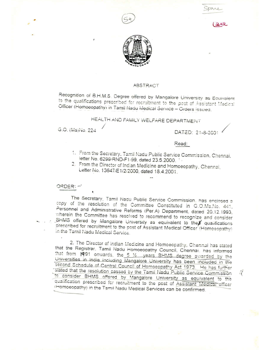







# **ABSTRACT**

Recognition of B.H.M.S. Degree offered by Mangalore University as Equivalent to the qualifications prescribed for recruitment to the post of Assistant Medical Officer (Homoeopathy) in Tamil Nadu Medical Service - Orders Issued.

HEALTH AND FAMILY WELFARE DEPARTMENT

G.O. (Ms)No. 224

DATED: 21-8-2001

 $\ddot{\tilde{i}}$ 

### Read:

- 1. From the Secretary, Tamil Nadu Public Service Commission, Chennai, letter No. 6299/RND-F1/99, dated 23.5.2000.
- 2. From the Director of Indian Medicine and Homoeopathy, Chennai, Letter No. 13647/E1/2/2000, dated 18.4.2001.

ORDER!

The Secretary, Tamil Nadu Public Service Commission. has enclosed a copy of the resolution of the Committee Constituted in G.O.Ms.No. 441, Personnel and Administrative Reforms (Per.A) Department, dated 20.12.1993, wherein the Committee has resolved to recommend to recognize and consider BHMS offered by Mangalore University as equivalent to the  $\not\!\!\!\!\!/$  qualifications prescribed for recruitment to the post of Assistant Medical Officer (Homoeopathy) in the Tamil Nadu Medical Service.

2. The Director of Indian Medicine and Homoeopathy, Chennai has stated that the Registrar, Tamil Nadu Homoeopathy Council, Chennai, has informed that from 1991 onwards, the 5 1/2 years BHMS degree awarded by the Universities in India including Mangalore University has been included in the second Schedule of Central Council of Homoeopathy Act 1973. He has further stated that the resolution passed by the Tamil Nadu Public Service Commission to consider BHMS offered by Mangalore University as equivalent to the qualification prescribed for recruitment to the post of Assistant Medical officer (Homoeopathy) in the Tamil Nadu Medical Services can be confirmed.